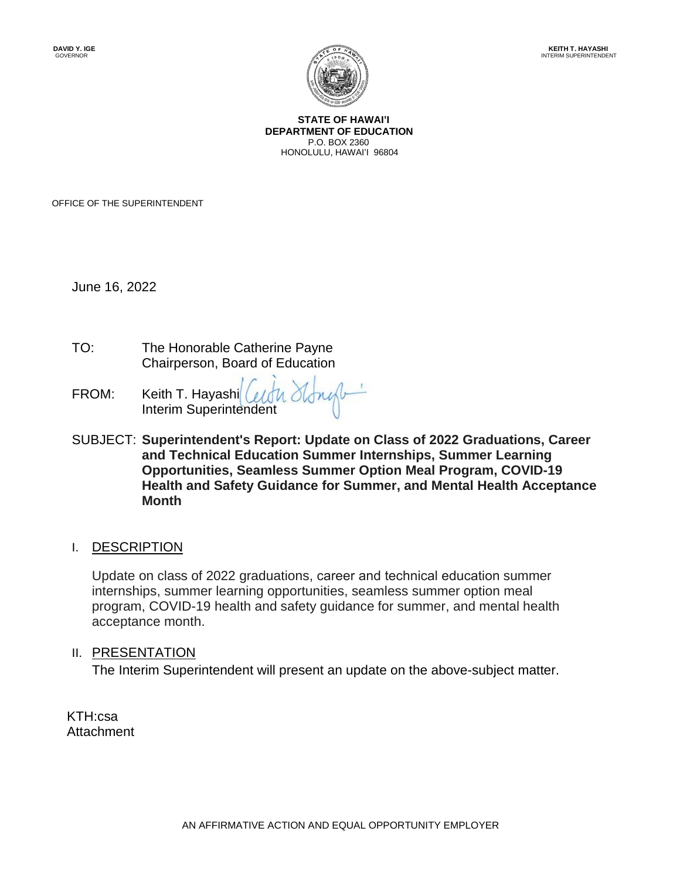

**STATE OF HAWAI'I DEPARTMENT OF EDUCATION** P.O. BOX 2360 HONOLULU, HAWAI'I 96804

OFFICE OF THE SUPERINTENDENT

June 16, 2022

- TO: The Honorable Catherine Payne Chairperson, Board of Education
- FROM: Keith T. Hayashi Certy Stones Interim Superintendent
- SUBJECT: **Superintendent's Report: Update on Class of 2022 Graduations, Career and Technical Education Summer Internships, Summer Learning Opportunities, Seamless Summer Option Meal Program, COVID-19 Health and Safety Guidance for Summer, and Mental Health Acceptance Month**

#### I. DESCRIPTION

Update on class of 2022 graduations, career and technical education summer internships, summer learning opportunities, seamless summer option meal program, COVID-19 health and safety guidance for summer, and mental health acceptance month.

#### II. PRESENTATION

The Interim Superintendent will present an update on the above-subject matter.

KTH:csa Attachment